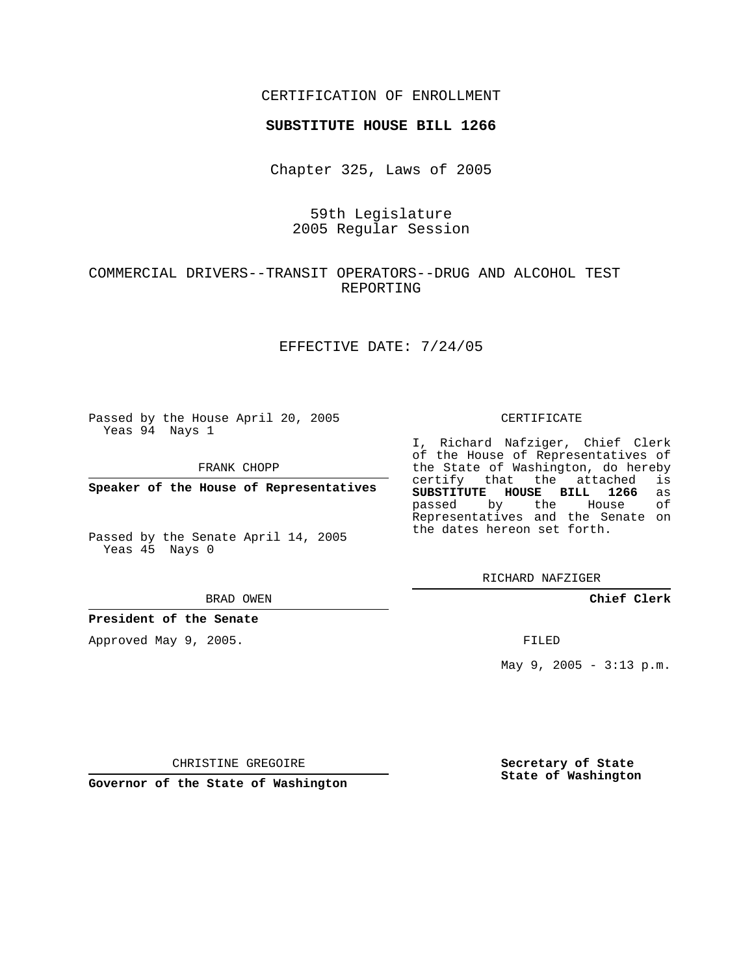## CERTIFICATION OF ENROLLMENT

### **SUBSTITUTE HOUSE BILL 1266**

Chapter 325, Laws of 2005

59th Legislature 2005 Regular Session

## COMMERCIAL DRIVERS--TRANSIT OPERATORS--DRUG AND ALCOHOL TEST REPORTING

## EFFECTIVE DATE: 7/24/05

Passed by the House April 20, 2005 Yeas 94 Nays 1

FRANK CHOPP

**Speaker of the House of Representatives**

Passed by the Senate April 14, 2005 Yeas 45 Nays 0

#### BRAD OWEN

**President of the Senate**

Approved May 9, 2005.

#### CERTIFICATE

I, Richard Nafziger, Chief Clerk of the House of Representatives of the State of Washington, do hereby<br>certify that the attached is certify that the attached **SUBSTITUTE HOUSE BILL 1266** as passed by the Representatives and the Senate on the dates hereon set forth.

RICHARD NAFZIGER

**Chief Clerk**

FILED

May 9, 2005 - 3:13 p.m.

CHRISTINE GREGOIRE

**Governor of the State of Washington**

**Secretary of State State of Washington**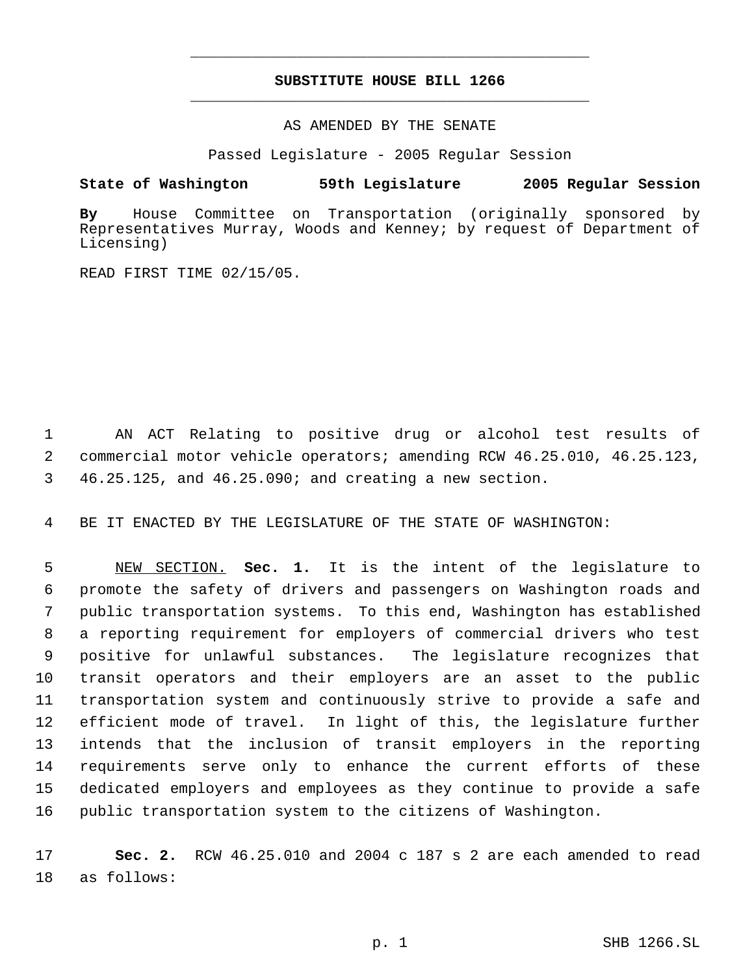# **SUBSTITUTE HOUSE BILL 1266** \_\_\_\_\_\_\_\_\_\_\_\_\_\_\_\_\_\_\_\_\_\_\_\_\_\_\_\_\_\_\_\_\_\_\_\_\_\_\_\_\_\_\_\_\_

\_\_\_\_\_\_\_\_\_\_\_\_\_\_\_\_\_\_\_\_\_\_\_\_\_\_\_\_\_\_\_\_\_\_\_\_\_\_\_\_\_\_\_\_\_

## AS AMENDED BY THE SENATE

Passed Legislature - 2005 Regular Session

## **State of Washington 59th Legislature 2005 Regular Session**

**By** House Committee on Transportation (originally sponsored by Representatives Murray, Woods and Kenney; by request of Department of Licensing)

READ FIRST TIME 02/15/05.

 AN ACT Relating to positive drug or alcohol test results of commercial motor vehicle operators; amending RCW 46.25.010, 46.25.123, 46.25.125, and 46.25.090; and creating a new section.

BE IT ENACTED BY THE LEGISLATURE OF THE STATE OF WASHINGTON:

 NEW SECTION. **Sec. 1.** It is the intent of the legislature to promote the safety of drivers and passengers on Washington roads and public transportation systems. To this end, Washington has established a reporting requirement for employers of commercial drivers who test positive for unlawful substances. The legislature recognizes that transit operators and their employers are an asset to the public transportation system and continuously strive to provide a safe and efficient mode of travel. In light of this, the legislature further intends that the inclusion of transit employers in the reporting requirements serve only to enhance the current efforts of these dedicated employers and employees as they continue to provide a safe public transportation system to the citizens of Washington.

 **Sec. 2.** RCW 46.25.010 and 2004 c 187 s 2 are each amended to read as follows: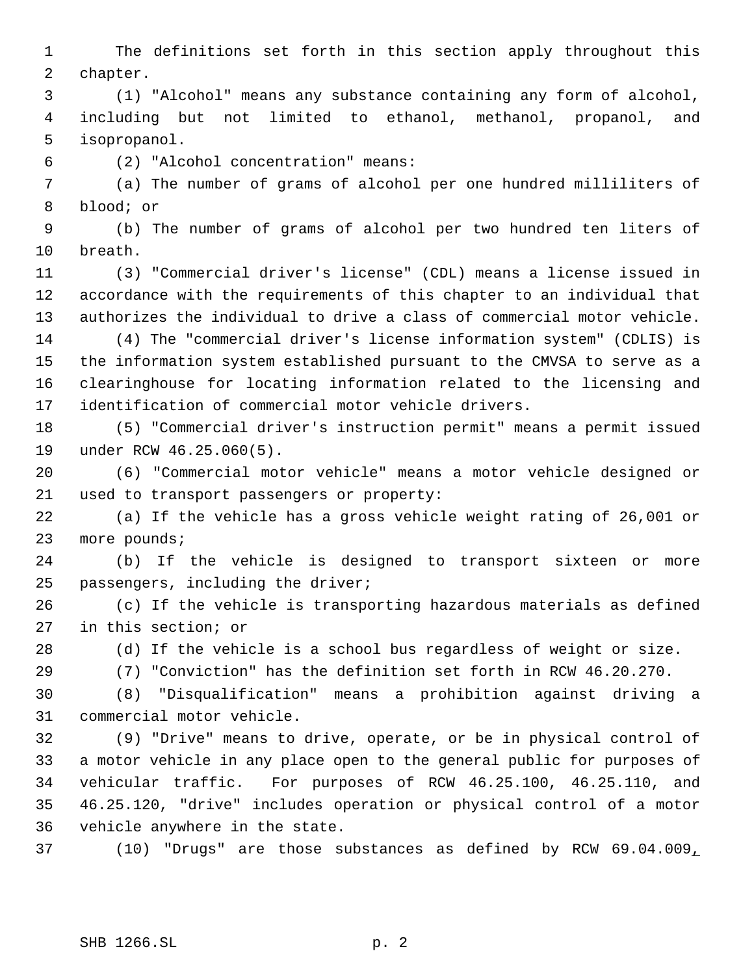The definitions set forth in this section apply throughout this chapter.

 (1) "Alcohol" means any substance containing any form of alcohol, including but not limited to ethanol, methanol, propanol, and isopropanol.

(2) "Alcohol concentration" means:

 (a) The number of grams of alcohol per one hundred milliliters of blood; or

 (b) The number of grams of alcohol per two hundred ten liters of breath.

 (3) "Commercial driver's license" (CDL) means a license issued in accordance with the requirements of this chapter to an individual that authorizes the individual to drive a class of commercial motor vehicle.

 (4) The "commercial driver's license information system" (CDLIS) is the information system established pursuant to the CMVSA to serve as a clearinghouse for locating information related to the licensing and identification of commercial motor vehicle drivers.

 (5) "Commercial driver's instruction permit" means a permit issued under RCW 46.25.060(5).

 (6) "Commercial motor vehicle" means a motor vehicle designed or used to transport passengers or property:

 (a) If the vehicle has a gross vehicle weight rating of 26,001 or more pounds;

 (b) If the vehicle is designed to transport sixteen or more passengers, including the driver;

 (c) If the vehicle is transporting hazardous materials as defined in this section; or

(d) If the vehicle is a school bus regardless of weight or size.

(7) "Conviction" has the definition set forth in RCW 46.20.270.

 (8) "Disqualification" means a prohibition against driving a commercial motor vehicle.

 (9) "Drive" means to drive, operate, or be in physical control of a motor vehicle in any place open to the general public for purposes of vehicular traffic. For purposes of RCW 46.25.100, 46.25.110, and 46.25.120, "drive" includes operation or physical control of a motor vehicle anywhere in the state.

(10) "Drugs" are those substances as defined by RCW 69.04.009,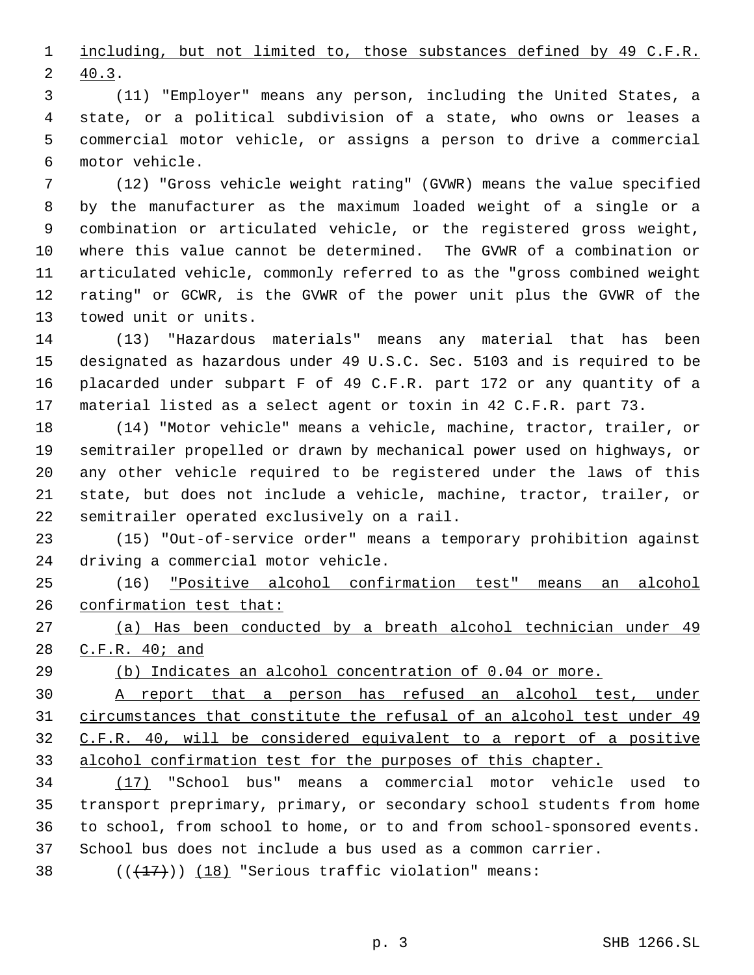1 <u>including, but not limited to, those substances defined by 49 C.F.R.</u> 40.3.

 (11) "Employer" means any person, including the United States, a state, or a political subdivision of a state, who owns or leases a commercial motor vehicle, or assigns a person to drive a commercial motor vehicle.

 (12) "Gross vehicle weight rating" (GVWR) means the value specified by the manufacturer as the maximum loaded weight of a single or a combination or articulated vehicle, or the registered gross weight, where this value cannot be determined. The GVWR of a combination or articulated vehicle, commonly referred to as the "gross combined weight rating" or GCWR, is the GVWR of the power unit plus the GVWR of the towed unit or units.

 (13) "Hazardous materials" means any material that has been designated as hazardous under 49 U.S.C. Sec. 5103 and is required to be placarded under subpart F of 49 C.F.R. part 172 or any quantity of a material listed as a select agent or toxin in 42 C.F.R. part 73.

 (14) "Motor vehicle" means a vehicle, machine, tractor, trailer, or semitrailer propelled or drawn by mechanical power used on highways, or any other vehicle required to be registered under the laws of this state, but does not include a vehicle, machine, tractor, trailer, or semitrailer operated exclusively on a rail.

 (15) "Out-of-service order" means a temporary prohibition against driving a commercial motor vehicle.

 (16) "Positive alcohol confirmation test" means an alcohol confirmation test that:

 (a) Has been conducted by a breath alcohol technician under 49 C.F.R. 40; and

(b) Indicates an alcohol concentration of 0.04 or more.

 A report that a person has refused an alcohol test, under circumstances that constitute the refusal of an alcohol test under 49 C.F.R. 40, will be considered equivalent to a report of a positive alcohol confirmation test for the purposes of this chapter.

 (17) "School bus" means a commercial motor vehicle used to transport preprimary, primary, or secondary school students from home to school, from school to home, or to and from school-sponsored events. School bus does not include a bus used as a common carrier.

38  $((\langle 17 \rangle)(18)$  "Serious traffic violation" means: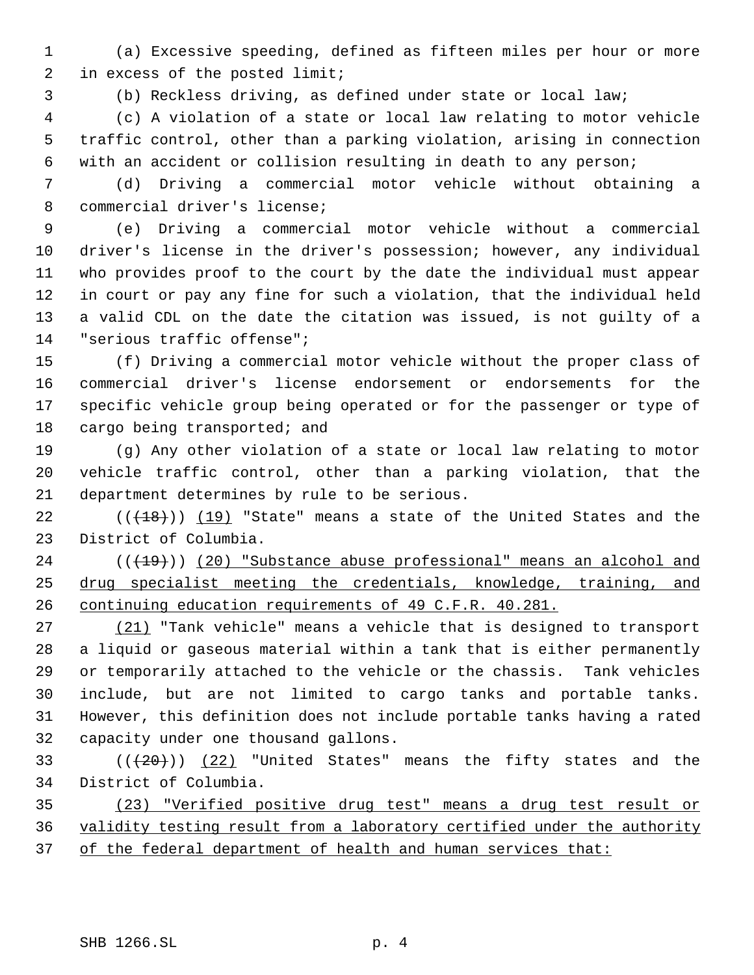(a) Excessive speeding, defined as fifteen miles per hour or more in excess of the posted limit;

(b) Reckless driving, as defined under state or local law;

 (c) A violation of a state or local law relating to motor vehicle traffic control, other than a parking violation, arising in connection with an accident or collision resulting in death to any person;

 (d) Driving a commercial motor vehicle without obtaining a commercial driver's license;

 (e) Driving a commercial motor vehicle without a commercial driver's license in the driver's possession; however, any individual who provides proof to the court by the date the individual must appear in court or pay any fine for such a violation, that the individual held a valid CDL on the date the citation was issued, is not guilty of a "serious traffic offense";

 (f) Driving a commercial motor vehicle without the proper class of commercial driver's license endorsement or endorsements for the specific vehicle group being operated or for the passenger or type of 18 cargo being transported; and

 (g) Any other violation of a state or local law relating to motor vehicle traffic control, other than a parking violation, that the department determines by rule to be serious.

 (( $(18)$ )) (19) "State" means a state of the United States and the District of Columbia.

24 (( $(19)$ )) (20) "Substance abuse professional" means an alcohol and drug specialist meeting the credentials, knowledge, training, and continuing education requirements of 49 C.F.R. 40.281.

27 (21) "Tank vehicle" means a vehicle that is designed to transport a liquid or gaseous material within a tank that is either permanently or temporarily attached to the vehicle or the chassis. Tank vehicles include, but are not limited to cargo tanks and portable tanks. However, this definition does not include portable tanks having a rated capacity under one thousand gallons.

33  $((+20))$   $(22)$  "United States" means the fifty states and the District of Columbia.

 (23) "Verified positive drug test" means a drug test result or validity testing result from a laboratory certified under the authority 37 of the federal department of health and human services that: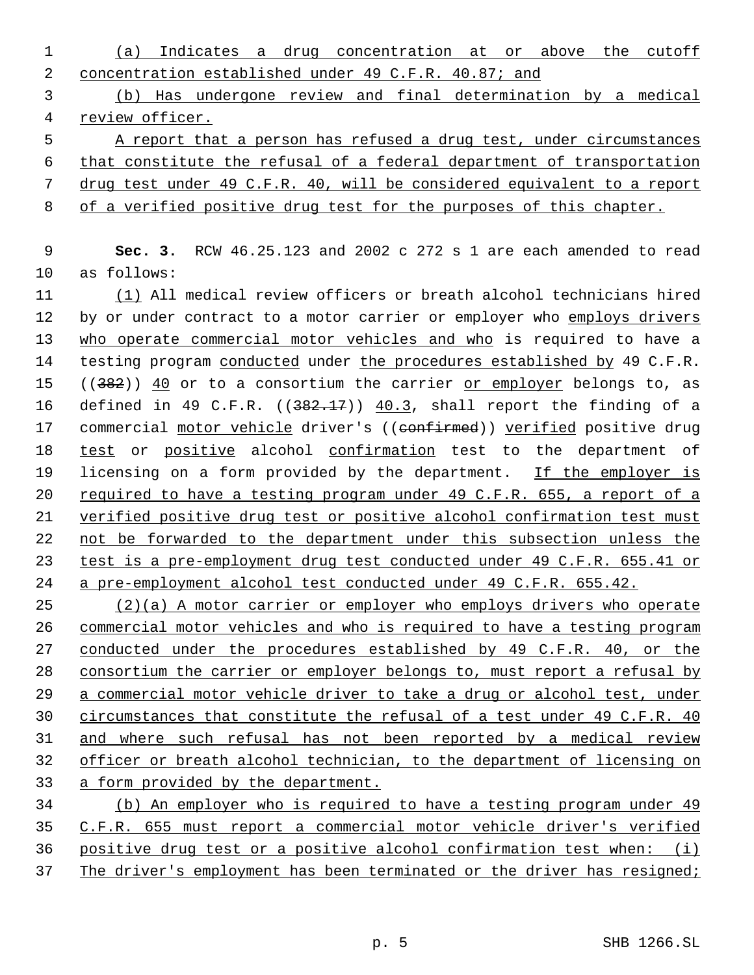(a) Indicates a drug concentration at or above the cutoff concentration established under 49 C.F.R. 40.87; and (b) Has undergone review and final determination by a medical review officer. A report that a person has refused a drug test, under circumstances that constitute the refusal of a federal department of transportation drug test under 49 C.F.R. 40, will be considered equivalent to a report of a verified positive drug test for the purposes of this chapter. **Sec. 3.** RCW 46.25.123 and 2002 c 272 s 1 are each amended to read as follows: (1) All medical review officers or breath alcohol technicians hired 12 by or under contract to a motor carrier or employer who employs drivers who operate commercial motor vehicles and who is required to have a 14 testing program conducted under the procedures established by 49 C.F.R.  $((382))$   $\underline{40}$  or to a consortium the carrier or employer belongs to, as 16 defined in 49 C.F.R.  $((382.17))$   $\underline{40.3}$ , shall report the finding of a 17 commercial motor vehicle driver's ((confirmed)) verified positive drug 18 test or positive alcohol confirmation test to the department of 19 licensing on a form provided by the department. If the employer is required to have a testing program under 49 C.F.R. 655, a report of a verified positive drug test or positive alcohol confirmation test must not be forwarded to the department under this subsection unless the test is a pre-employment drug test conducted under 49 C.F.R. 655.41 or a pre-employment alcohol test conducted under 49 C.F.R. 655.42. (2)(a) A motor carrier or employer who employs drivers who operate

 commercial motor vehicles and who is required to have a testing program 27 conducted under the procedures established by 49 C.F.R. 40, or the consortium the carrier or employer belongs to, must report a refusal by a commercial motor vehicle driver to take a drug or alcohol test, under 30 circumstances that constitute the refusal of a test under 49 C.F.R. 40 and where such refusal has not been reported by a medical review officer or breath alcohol technician, to the department of licensing on a form provided by the department.

 (b) An employer who is required to have a testing program under 49 C.F.R. 655 must report a commercial motor vehicle driver's verified positive drug test or a positive alcohol confirmation test when: (i) The driver's employment has been terminated or the driver has resigned;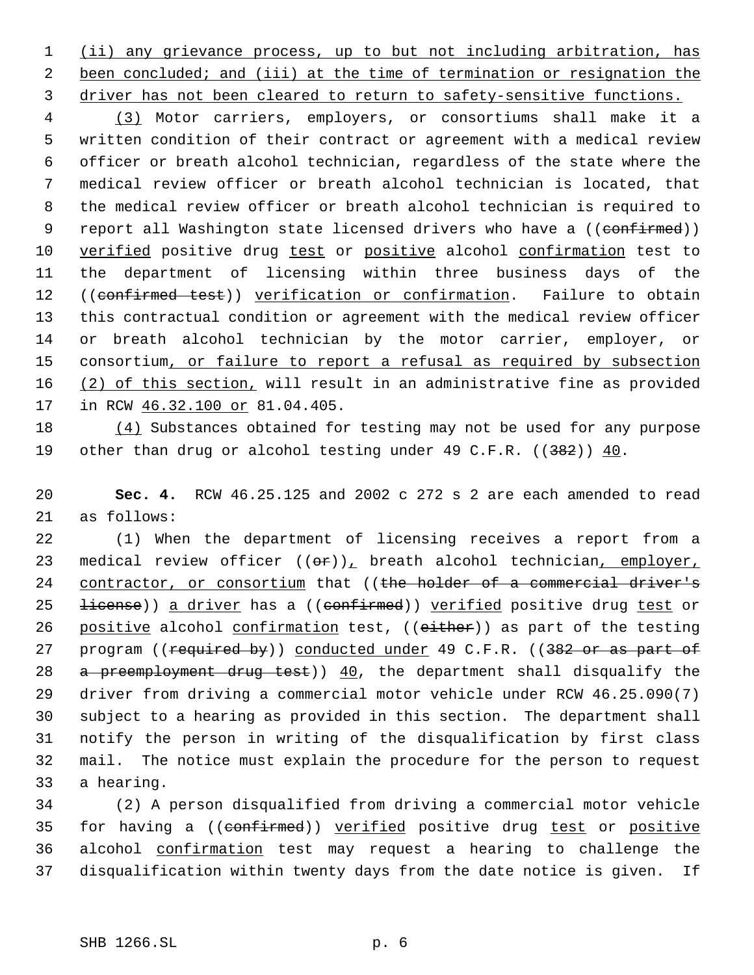1 (ii) any grievance process, up to but not including arbitration, has 2 been concluded; and (iii) at the time of termination or resignation the 3 driver has not been cleared to return to safety-sensitive functions.

 4 (3) Motor carriers, employers, or consortiums shall make it a 5 written condition of their contract or agreement with a medical review 6 officer or breath alcohol technician, regardless of the state where the 7 medical review officer or breath alcohol technician is located, that 8 the medical review officer or breath alcohol technician is required to 9 report all Washington state licensed drivers who have a ((confirmed)) 10 verified positive drug test or positive alcohol confirmation test to 11 the department of licensing within three business days of the 12 ((confirmed test)) verification or confirmation. Failure to obtain 13 this contractual condition or agreement with the medical review officer 14 or breath alcohol technician by the motor carrier, employer, or 15 consortium, or failure to report a refusal as required by subsection 16 (2) of this section, will result in an administrative fine as provided 17 in RCW  $46.32.100$  or 81.04.405.

18 (4) Substances obtained for testing may not be used for any purpose 19 other than drug or alcohol testing under 49 C.F.R. ((382)) 40.

20 **Sec. 4.** RCW 46.25.125 and 2002 c 272 s 2 are each amended to read 21 as follows:

22 (1) When the department of licensing receives a report from a 23 medical review officer  $((e^p)_L)$  breath alcohol technician, employer, 24 contractor, or consortium that ((the holder of a commercial driver's 25 <del>license</del>)) a driver has a ((confirmed)) verified positive drug test or 26 positive alcohol confirmation test, ((either)) as part of the testing 27 program ((required by)) conducted under 49 C.F.R. ((382 or as part of 28 a preemployment drug test)) 40, the department shall disqualify the 29 driver from driving a commercial motor vehicle under RCW 46.25.090(7) 30 subject to a hearing as provided in this section. The department shall 31 notify the person in writing of the disqualification by first class 32 mail. The notice must explain the procedure for the person to request 33 a hearing.

 (2) A person disqualified from driving a commercial motor vehicle 35 for having a ((confirmed)) verified positive drug test or positive alcohol confirmation test may request a hearing to challenge the disqualification within twenty days from the date notice is given. If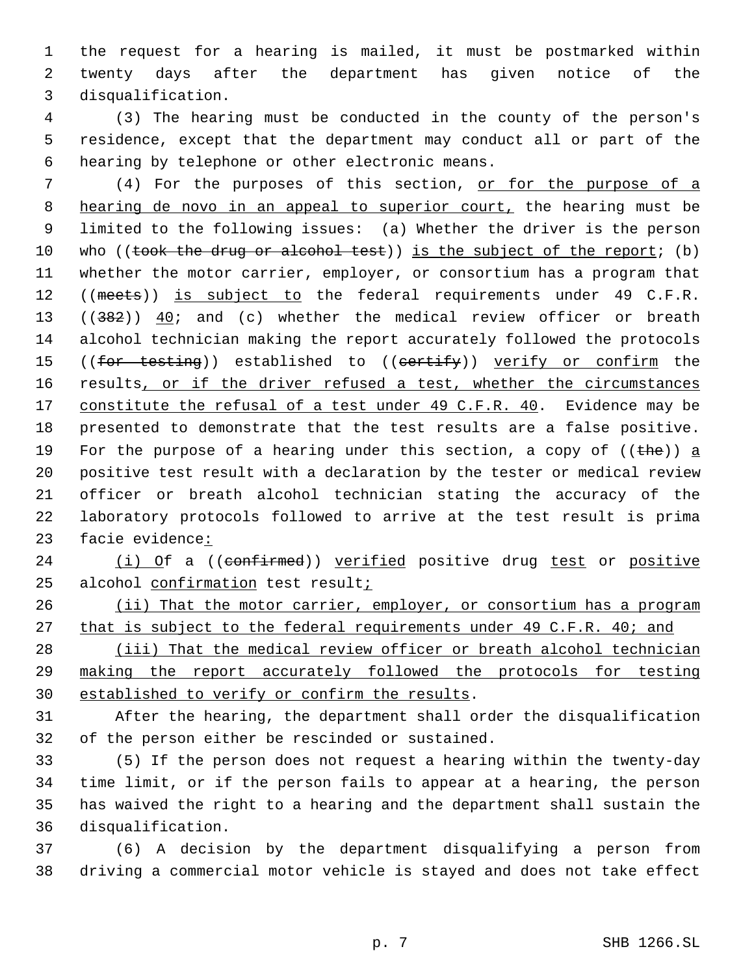the request for a hearing is mailed, it must be postmarked within twenty days after the department has given notice of the disqualification.

 (3) The hearing must be conducted in the county of the person's residence, except that the department may conduct all or part of the hearing by telephone or other electronic means.

7 (4) For the purposes of this section, or for the purpose of a 8 hearing de novo in an appeal to superior court, the hearing must be limited to the following issues: (a) Whether the driver is the person 10 who ((took the drug or alcohol test)) is the subject of the report; (b) whether the motor carrier, employer, or consortium has a program that 12 ((meets)) is subject to the federal requirements under 49 C.F.R. 13 ( $(382)$ )  $40i$  and (c) whether the medical review officer or breath alcohol technician making the report accurately followed the protocols 15 ((for testing)) established to ((certify)) verify or confirm the 16 results, or if the driver refused a test, whether the circumstances 17 constitute the refusal of a test under 49 C.F.R. 40. Evidence may be presented to demonstrate that the test results are a false positive. 19 For the purpose of a hearing under this section, a copy of  $((the) ) a$  positive test result with a declaration by the tester or medical review officer or breath alcohol technician stating the accuracy of the laboratory protocols followed to arrive at the test result is prima facie evidence:

24 (i) Of a ((confirmed)) verified positive drug test or positive alcohol confirmation test result;

26 (ii) That the motor carrier, employer, or consortium has a program 27 that is subject to the federal requirements under 49 C.F.R. 40; and

28 (iii) That the medical review officer or breath alcohol technician making the report accurately followed the protocols for testing established to verify or confirm the results.

 After the hearing, the department shall order the disqualification of the person either be rescinded or sustained.

 (5) If the person does not request a hearing within the twenty-day time limit, or if the person fails to appear at a hearing, the person has waived the right to a hearing and the department shall sustain the disqualification.

 (6) A decision by the department disqualifying a person from driving a commercial motor vehicle is stayed and does not take effect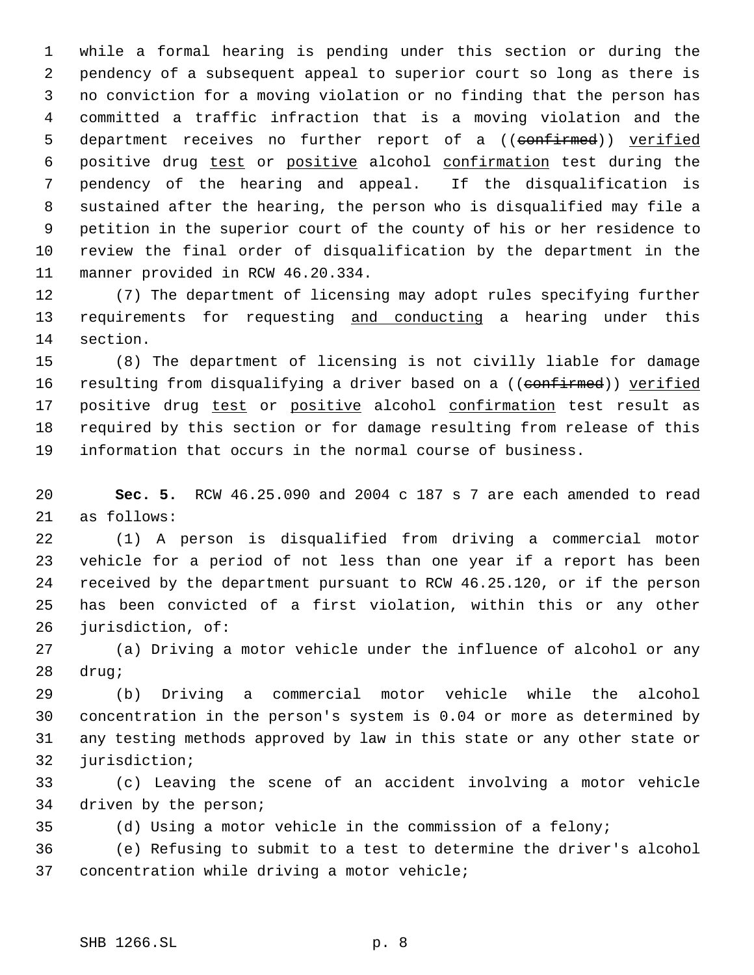while a formal hearing is pending under this section or during the pendency of a subsequent appeal to superior court so long as there is no conviction for a moving violation or no finding that the person has committed a traffic infraction that is a moving violation and the 5 department receives no further report of a ((confirmed)) verified positive drug test or positive alcohol confirmation test during the pendency of the hearing and appeal. If the disqualification is sustained after the hearing, the person who is disqualified may file a petition in the superior court of the county of his or her residence to review the final order of disqualification by the department in the manner provided in RCW 46.20.334.

 (7) The department of licensing may adopt rules specifying further 13 requirements for requesting and conducting a hearing under this section.

 (8) The department of licensing is not civilly liable for damage 16 resulting from disqualifying a driver based on a ((confirmed)) verified 17 positive drug test or positive alcohol confirmation test result as required by this section or for damage resulting from release of this information that occurs in the normal course of business.

 **Sec. 5.** RCW 46.25.090 and 2004 c 187 s 7 are each amended to read as follows:

 (1) A person is disqualified from driving a commercial motor vehicle for a period of not less than one year if a report has been received by the department pursuant to RCW 46.25.120, or if the person has been convicted of a first violation, within this or any other jurisdiction, of:

 (a) Driving a motor vehicle under the influence of alcohol or any drug;

 (b) Driving a commercial motor vehicle while the alcohol concentration in the person's system is 0.04 or more as determined by any testing methods approved by law in this state or any other state or jurisdiction;

 (c) Leaving the scene of an accident involving a motor vehicle driven by the person;

(d) Using a motor vehicle in the commission of a felony;

 (e) Refusing to submit to a test to determine the driver's alcohol concentration while driving a motor vehicle;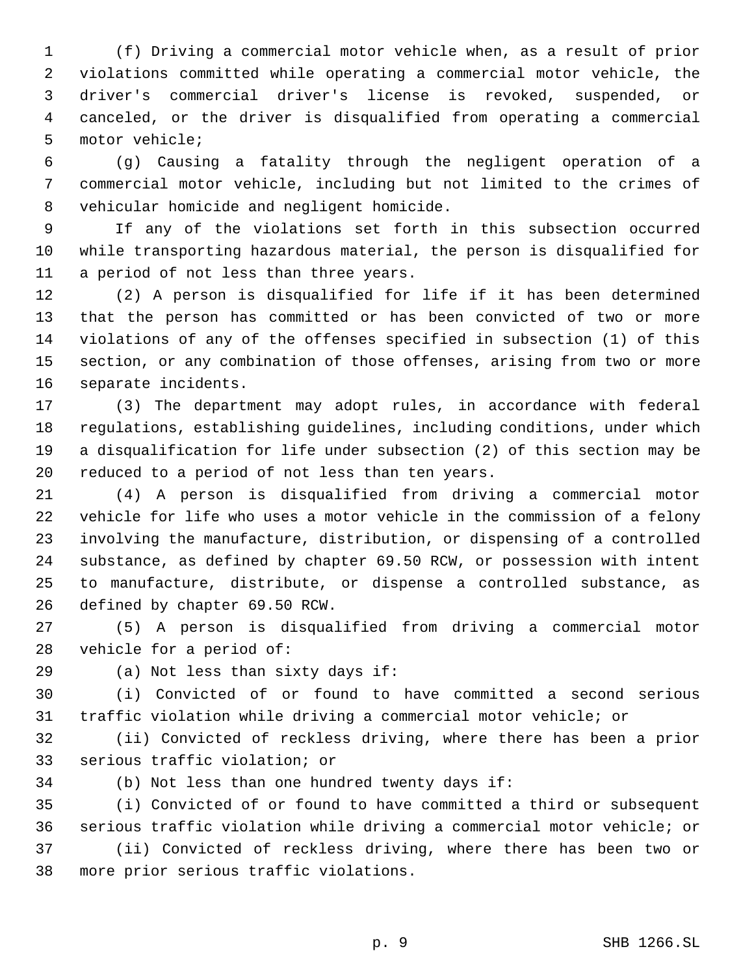(f) Driving a commercial motor vehicle when, as a result of prior violations committed while operating a commercial motor vehicle, the driver's commercial driver's license is revoked, suspended, or canceled, or the driver is disqualified from operating a commercial motor vehicle;

 (g) Causing a fatality through the negligent operation of a commercial motor vehicle, including but not limited to the crimes of vehicular homicide and negligent homicide.

 If any of the violations set forth in this subsection occurred while transporting hazardous material, the person is disqualified for a period of not less than three years.

 (2) A person is disqualified for life if it has been determined that the person has committed or has been convicted of two or more violations of any of the offenses specified in subsection (1) of this section, or any combination of those offenses, arising from two or more separate incidents.

 (3) The department may adopt rules, in accordance with federal regulations, establishing guidelines, including conditions, under which a disqualification for life under subsection (2) of this section may be reduced to a period of not less than ten years.

 (4) A person is disqualified from driving a commercial motor vehicle for life who uses a motor vehicle in the commission of a felony involving the manufacture, distribution, or dispensing of a controlled substance, as defined by chapter 69.50 RCW, or possession with intent to manufacture, distribute, or dispense a controlled substance, as defined by chapter 69.50 RCW.

 (5) A person is disqualified from driving a commercial motor vehicle for a period of:

(a) Not less than sixty days if:

 (i) Convicted of or found to have committed a second serious traffic violation while driving a commercial motor vehicle; or

 (ii) Convicted of reckless driving, where there has been a prior serious traffic violation; or

(b) Not less than one hundred twenty days if:

 (i) Convicted of or found to have committed a third or subsequent serious traffic violation while driving a commercial motor vehicle; or (ii) Convicted of reckless driving, where there has been two or more prior serious traffic violations.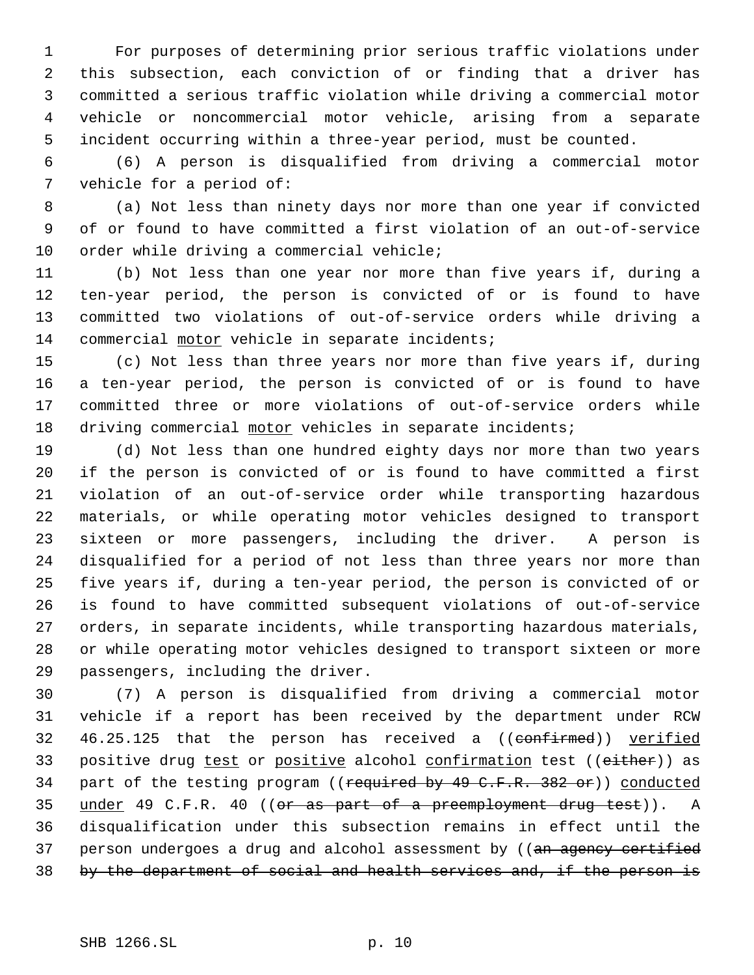For purposes of determining prior serious traffic violations under this subsection, each conviction of or finding that a driver has committed a serious traffic violation while driving a commercial motor vehicle or noncommercial motor vehicle, arising from a separate incident occurring within a three-year period, must be counted.

 (6) A person is disqualified from driving a commercial motor vehicle for a period of:

 (a) Not less than ninety days nor more than one year if convicted of or found to have committed a first violation of an out-of-service 10 order while driving a commercial vehicle;

 (b) Not less than one year nor more than five years if, during a ten-year period, the person is convicted of or is found to have committed two violations of out-of-service orders while driving a 14 commercial motor vehicle in separate incidents;

 (c) Not less than three years nor more than five years if, during a ten-year period, the person is convicted of or is found to have committed three or more violations of out-of-service orders while driving commercial motor vehicles in separate incidents;

 (d) Not less than one hundred eighty days nor more than two years if the person is convicted of or is found to have committed a first violation of an out-of-service order while transporting hazardous materials, or while operating motor vehicles designed to transport sixteen or more passengers, including the driver. A person is disqualified for a period of not less than three years nor more than five years if, during a ten-year period, the person is convicted of or is found to have committed subsequent violations of out-of-service orders, in separate incidents, while transporting hazardous materials, or while operating motor vehicles designed to transport sixteen or more passengers, including the driver.

 (7) A person is disqualified from driving a commercial motor vehicle if a report has been received by the department under RCW 32 46.25.125 that the person has received a ((confirmed)) verified 33 positive drug test or positive alcohol confirmation test ((either)) as 34 part of the testing program ((required by 49 C.F.R. 382 or)) conducted 35 under 49 C.F.R. 40 ((or as part of a preemployment drug test)). A disqualification under this subsection remains in effect until the 37 person undergoes a drug and alcohol assessment by ((an agency certified 38 by the department of social and health services and, if the person is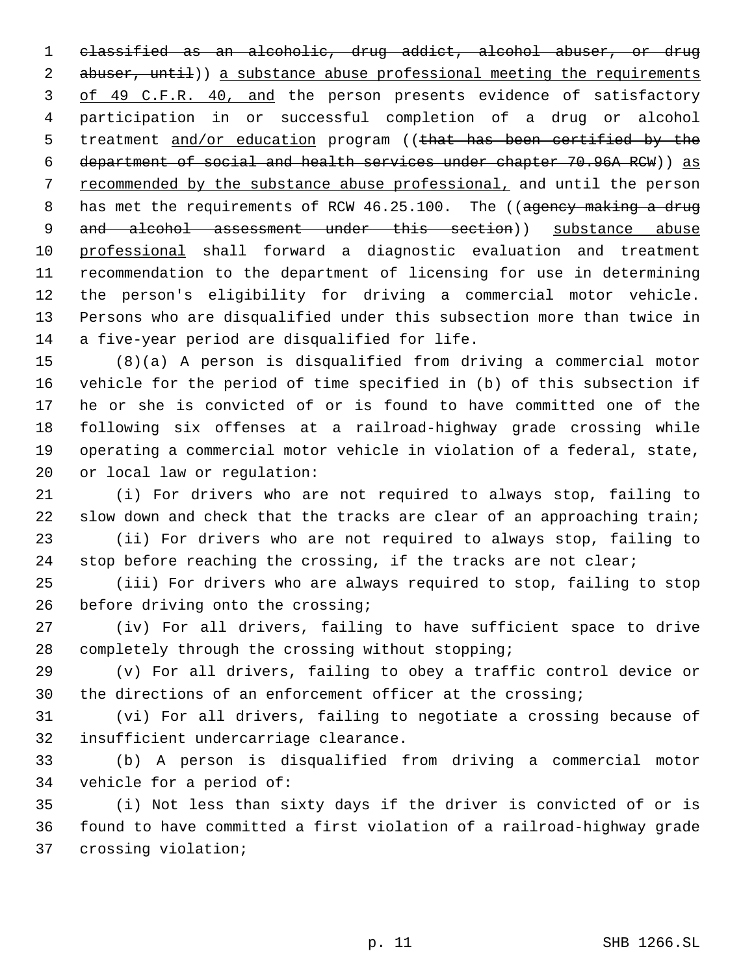classified as an alcoholic, drug addict, alcohol abuser, or drug 2 abuser, until)) a substance abuse professional meeting the requirements 3 of 49 C.F.R. 40, and the person presents evidence of satisfactory participation in or successful completion of a drug or alcohol 5 treatment and/or education program ((that has been certified by the department of social and health services under chapter 70.96A RCW)) as recommended by the substance abuse professional, and until the person 8 has met the requirements of RCW 46.25.100. The ((agency making a drug 9 and alcohol assessment under this section)) substance abuse professional shall forward a diagnostic evaluation and treatment recommendation to the department of licensing for use in determining the person's eligibility for driving a commercial motor vehicle. Persons who are disqualified under this subsection more than twice in a five-year period are disqualified for life.

 (8)(a) A person is disqualified from driving a commercial motor vehicle for the period of time specified in (b) of this subsection if he or she is convicted of or is found to have committed one of the following six offenses at a railroad-highway grade crossing while operating a commercial motor vehicle in violation of a federal, state, or local law or regulation:

 (i) For drivers who are not required to always stop, failing to 22 slow down and check that the tracks are clear of an approaching train; (ii) For drivers who are not required to always stop, failing to

24 stop before reaching the crossing, if the tracks are not clear;

 (iii) For drivers who are always required to stop, failing to stop 26 before driving onto the crossing;

 (iv) For all drivers, failing to have sufficient space to drive completely through the crossing without stopping;

 (v) For all drivers, failing to obey a traffic control device or the directions of an enforcement officer at the crossing;

 (vi) For all drivers, failing to negotiate a crossing because of insufficient undercarriage clearance.

 (b) A person is disqualified from driving a commercial motor vehicle for a period of:

 (i) Not less than sixty days if the driver is convicted of or is found to have committed a first violation of a railroad-highway grade crossing violation;